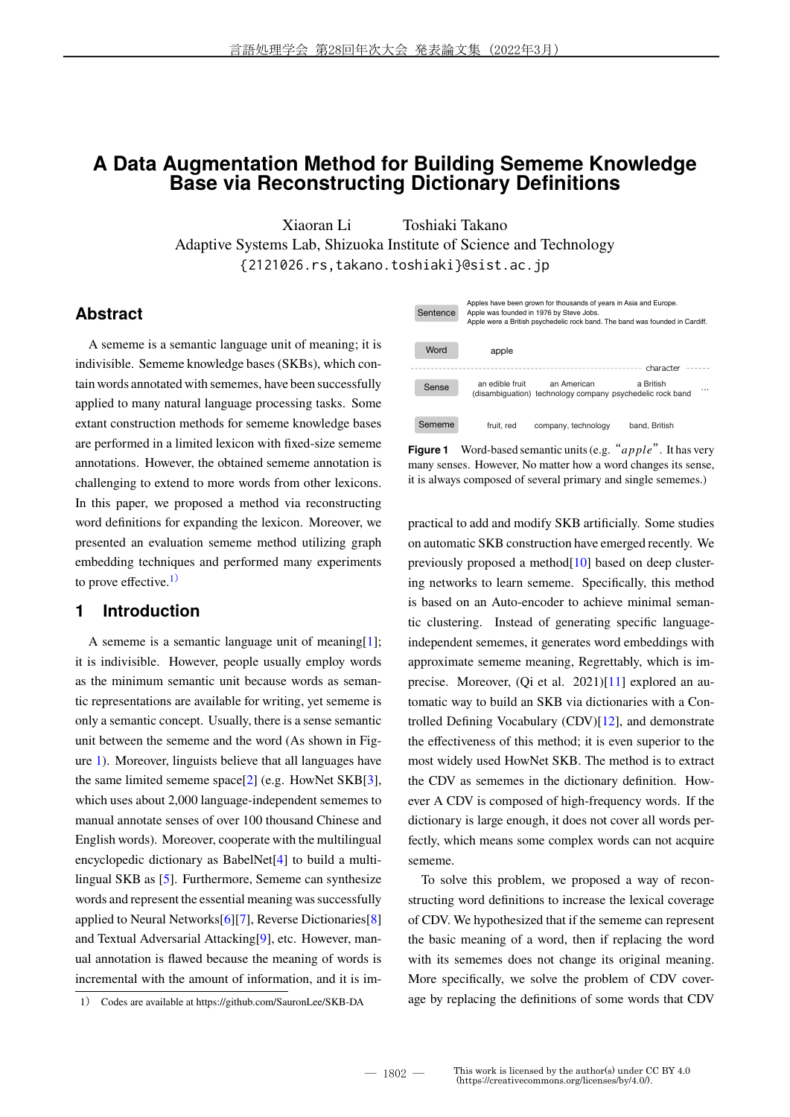# **A Data Augmentation Method for Building Sememe Knowledge Base via Reconstructing Dictionary Definitions**

Xiaoran Li Toshiaki Takano Adaptive Systems Lab, Shizuoka Institute of Science and Technology {2121026.rs,takano.toshiaki}@sist.ac.jp

### **Abstract**

A sememe is a semantic language unit of meaning; it is indivisible. Sememe knowledge bases (SKBs), which contain words annotated with sememes, have been successfully applied to many natural language processing tasks. Some extant construction methods for sememe knowledge bases are performed in a limited lexicon with fixed-size sememe annotations. However, the obtained sememe annotation is challenging to extend to more words from other lexicons. In this paper, we proposed a method via reconstructing word definitions for expanding the lexicon. Moreover, we presented an evaluation sememe method utilizing graph embedding techniques and performed many experiments to prove effective. $1)$ 

## **1 Introduction**

A sememe is a semantic language unit of meaning[1]; it is indivisible. However, people usually employ words as the minimum semantic unit because words as semantic representations are available for writing, yet sememe is only a semantic concept. Usually, there is a sense semantic unit between the sememe and the word (As shown in Figure 1). Moreover, linguists believe that all languages have the same limited sememe space[2] (e.g. HowNet SKB[3], which uses about 2,000 language-independent sememes to manual annotate senses of over 100 thousand Chinese and English words). Moreover, cooperate with the multilingual encyclopedic dictionary as BabelNet[4] to build a multilingual SKB as [5]. Furthermore, Sememe can synthesize words and represent the essential meaning was successfully applied to Neural Networks[6][7], Reverse Dictionaries[8] and Textual Adversarial Attacking[9], etc. However, manual annotation is flawed because the meaning of words is incremental with the amount of information, and it is im-

| Sentence |                 | Apples have been grown for thousands of years in Asia and Europe.<br>Apple was founded in 1976 by Steve Jobs. | Apple were a British psychedelic rock band. The band was founded in Cardiff. |
|----------|-----------------|---------------------------------------------------------------------------------------------------------------|------------------------------------------------------------------------------|
| Word     | apple           |                                                                                                               | character                                                                    |
| Sense    | an edible fruit | an American<br>(disambiquation) technology company psychedelic rock band                                      | a British                                                                    |
| Sememe   | fruit, red      | company, technology                                                                                           | band, British                                                                |

**Figure 1** Word-based semantic units (e.g. "*apple*". It has very many senses. However, No matter how a word changes its sense, it is always composed of several primary and single sememes.)

practical to add and modify SKB artificially. Some studies on automatic SKB construction have emerged recently. We previously proposed a method[10] based on deep clustering networks to learn sememe. Specifically, this method is based on an Auto-encoder to achieve minimal semantic clustering. Instead of generating specific languageindependent sememes, it generates word embeddings with approximate sememe meaning, Regrettably, which is imprecise. Moreover, (Qi et al. 2021)[11] explored an automatic way to build an SKB via dictionaries with a Controlled Defining Vocabulary (CDV)[12], and demonstrate the effectiveness of this method; it is even superior to the most widely used HowNet SKB. The method is to extract the CDV as sememes in the dictionary definition. However A CDV is composed of high-frequency words. If the dictionary is large enough, it does not cover all words perfectly, which means some complex words can not acquire sememe.

To solve this problem, we proposed a way of reconstructing word definitions to increase the lexical coverage of CDV. We hypothesized that if the sememe can represent the basic meaning of a word, then if replacing the word with its sememes does not change its original meaning. More specifically, we solve the problem of CDV coverage by replacing the definitions of some words that CDV

<sup>1</sup>) Codes are available at https://github.com/SauronLee/SKB-DA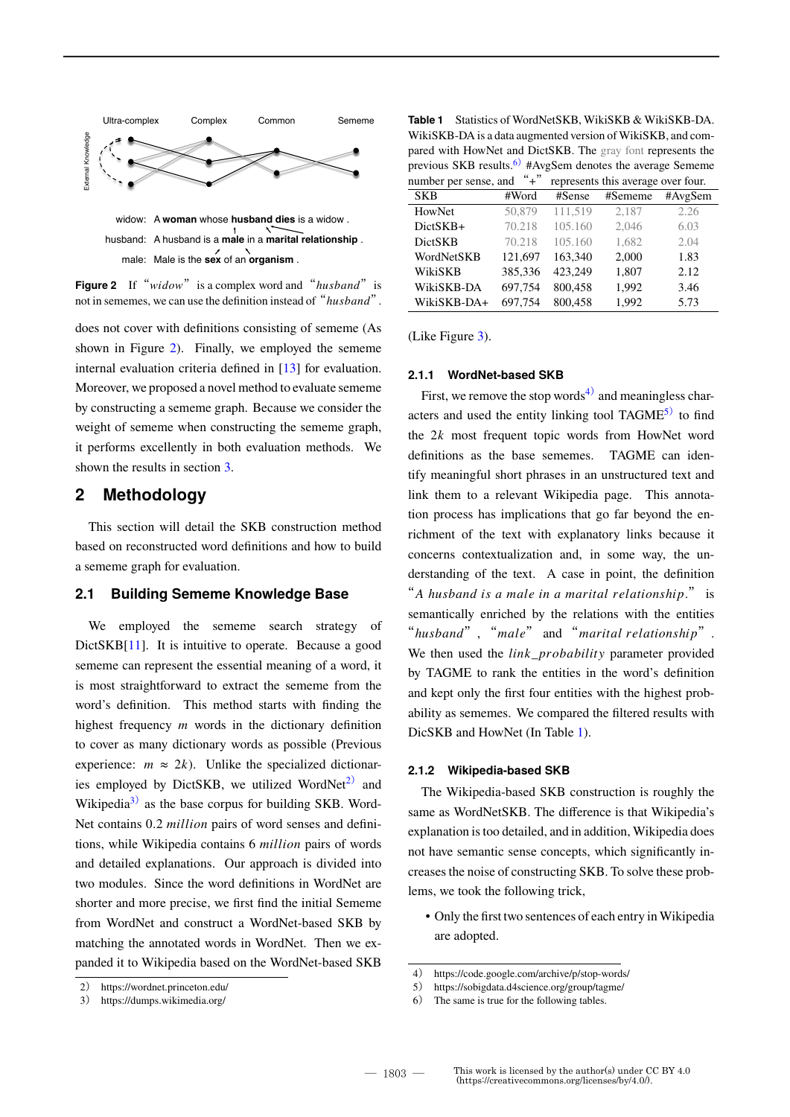

**Figure 2** If "*widow*" is a complex word and "*husband*" is not in sememes, we can use the definition instead of "*husband*".

does not cover with definitions consisting of sememe (As shown in Figure 2). Finally, we employed the sememe internal evaluation criteria defined in [13] for evaluation. Moreover, we proposed a novel method to evaluate sememe by constructing a sememe graph. Because we consider the weight of sememe when constructing the sememe graph, it performs excellently in both evaluation methods. We shown the results in section 3.

### **2 Methodology**

This section will detail the SKB construction method based on reconstructed word definitions and how to build a sememe graph for evaluation.

### **2.1 Building Sememe Knowledge Base**

We employed the sememe search strategy of DictSKB[11]. It is intuitive to operate. Because a good sememe can represent the essential meaning of a word, it is most straightforward to extract the sememe from the word's definition. This method starts with finding the highest frequency  $m$  words in the dictionary definition to cover as many dictionary words as possible (Previous experience:  $m \approx 2k$ ). Unlike the specialized dictionaries employed by DictSKB, we utilized WordNet<sup>2)</sup> and Wikipedia<sup>3)</sup> as the base corpus for building SKB. Word-Net contains 0.2 *million* pairs of word senses and definitions, while Wikipedia contains 6 *million* pairs of words and detailed explanations. Our approach is divided into two modules. Since the word definitions in WordNet are shorter and more precise, we first find the initial Sememe from WordNet and construct a WordNet-based SKB by matching the annotated words in WordNet. Then we expanded it to Wikipedia based on the WordNet-based SKB

**Table 1** Statistics of WordNetSKB, WikiSKB & WikiSKB-DA. WikiSKB-DA is a data augmented version of WikiSKB, and compared with HowNet and DictSKB. The gray font represents the previous SKB results.<sup>6)</sup> #AvgSem denotes the average Sememe ther per sense, and  $"$  +"

| number per sense, and | $\pm$   |         | represents this average over four. |         |
|-----------------------|---------|---------|------------------------------------|---------|
| <b>SKB</b>            | #Word   | #Sense  | #Sememe                            | #AvgSem |
| HowNet                | 50,879  | 111.519 | 2.187                              | 2.26    |
| DictSKB+              | 70.218  | 105.160 | 2.046                              | 6.03    |
| <b>DictSKB</b>        | 70.218  | 105.160 | 1,682                              | 2.04    |
| WordNetSKB            | 121,697 | 163,340 | 2,000                              | 1.83    |
| WikiSKB               | 385,336 | 423.249 | 1,807                              | 2.12    |
| WikiSKB-DA            | 697,754 | 800,458 | 1,992                              | 3.46    |
| WikiSKB-DA+           | 697.754 | 800.458 | 1.992                              | 5.73    |
|                       |         |         |                                    |         |

(Like Figure 3).

#### **2.1.1 WordNet-based SKB**

First, we remove the stop words<sup>4)</sup> and meaningless characters and used the entity linking tool  $TAGME<sup>5</sup>$  to find the  $2k$  most frequent topic words from HowNet word definitions as the base sememes. TAGME can identify meaningful short phrases in an unstructured text and link them to a relevant Wikipedia page. This annotation process has implications that go far beyond the enrichment of the text with explanatory links because it concerns contextualization and, in some way, the understanding of the text. A case in point, the definition "A husband is a male in a marital relationship." is semantically enriched by the relations with the entities "*husband*", "*male*" and "*marital relationship*". We then used the  $link$  probability parameter provided by TAGME to rank the entities in the word's definition and kept only the first four entities with the highest probability as sememes. We compared the filtered results with DicSKB and HowNet (In Table 1).

#### **2.1.2 Wikipedia-based SKB**

The Wikipedia-based SKB construction is roughly the same as WordNetSKB. The difference is that Wikipedia's explanation is too detailed, and in addition, Wikipedia does not have semantic sense concepts, which significantly increases the noise of constructing SKB. To solve these problems, we took the following trick,

• Only the first two sentences of each entry in Wikipedia are adopted.

<sup>2</sup>) https://wordnet.princeton.edu/

<sup>3</sup>) https://dumps.wikimedia.org/

<sup>4</sup>) https://code.google.com/archive/p/stop-words/

<sup>5</sup>) https://sobigdata.d4science.org/group/tagme/

<sup>6</sup>) The same is true for the following tables.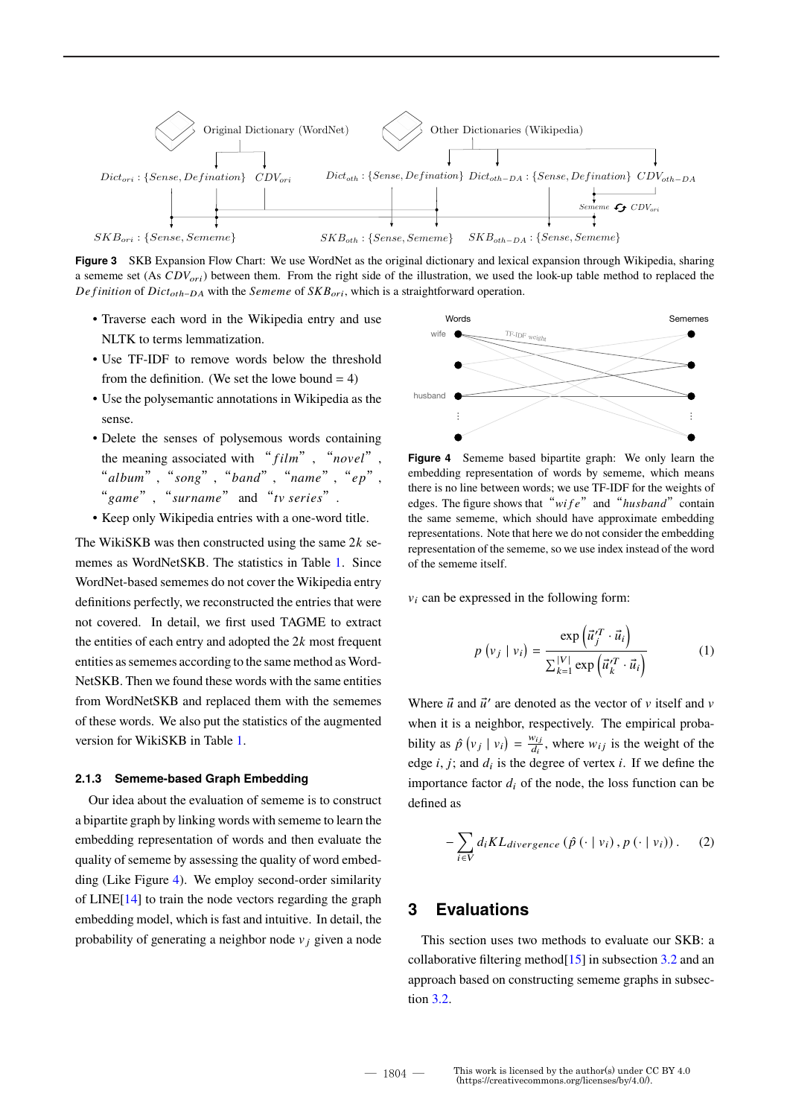

**Figure 3** SKB Expansion Flow Chart: We use WordNet as the original dictionary and lexical expansion through Wikipedia, sharing a sememe set (As  $CDV_{ori}$ ) between them. From the right side of the illustration, we used the look-up table method to replaced the *De finition* of *Dict<sub>oth-DA</sub>* with the *Sememe* of  $SKB_{ori}$ , which is a straightforward operation.

- Traverse each word in the Wikipedia entry and use NLTK to terms lemmatization.
- Use TF-IDF to remove words below the threshold from the definition. (We set the lowe bound  $= 4$ )
- Use the polysemantic annotations in Wikipedia as the sense.
- Delete the senses of polysemous words containing the meaning associated with " $film$ ", " $novel$ ", "album", " $\frac{1}{2}$ ", "band", "name", "ep", "game", "surname" and "tv series".
- Keep only Wikipedia entries with a one-word title.

The WikiSKB was then constructed using the same  $2k$  sememes as WordNetSKB. The statistics in Table 1. Since WordNet-based sememes do not cover the Wikipedia entry definitions perfectly, we reconstructed the entries that were not covered. In detail, we first used TAGME to extract the entities of each entry and adopted the  $2k$  most frequent entities as sememes according to the same method as Word-NetSKB. Then we found these words with the same entities from WordNetSKB and replaced them with the sememes of these words. We also put the statistics of the augmented version for WikiSKB in Table 1.

#### **2.1.3 Sememe-based Graph Embedding**

Our idea about the evaluation of sememe is to construct a bipartite graph by linking words with sememe to learn the embedding representation of words and then evaluate the quality of sememe by assessing the quality of word embedding (Like Figure 4). We employ second-order similarity of LINE[14] to train the node vectors regarding the graph embedding model, which is fast and intuitive. In detail, the probability of generating a neighbor node  $v_i$  given a node



**Figure 4** Sememe based bipartite graph: We only learn the embedding representation of words by sememe, which means there is no line between words; we use TF-IDF for the weights of edges. The figure shows that "*wife*" and "*husband*" contain the same sememe, which should have approximate embedding representations. Note that here we do not consider the embedding representation of the sememe, so we use index instead of the word of the sememe itself.

 $v_i$  can be expressed in the following form:

$$
p(v_j | v_i) = \frac{\exp\left(\vec{u}_j^T \cdot \vec{u}_i\right)}{\sum_{k=1}^{|V|} \exp\left(\vec{u}_k^T \cdot \vec{u}_i\right)}
$$
(1)

Where  $\vec{u}$  and  $\vec{u}'$  are denoted as the vector of  $v$  itself and  $v$ when it is a neighbor, respectively. The empirical probability as  $\hat{p}(v_j | v_i) = \frac{w_{ij}}{d_i}$  $\frac{w_{ij}}{d_i}$ , where  $w_{ij}$  is the weight of the edge  $i, j$ ; and  $d_i$  is the degree of vertex  $i$ . If we define the importance factor  $d_i$  of the node, the loss function can be defined as

$$
-\sum_{i\in V}d_iKL_{divergence}(\hat{p}(\cdot | v_i), p(\cdot | v_i)).
$$
 (2)

## **3 Evaluations**

This section uses two methods to evaluate our SKB: a collaborative filtering method $[15]$  in subsection 3.2 and an approach based on constructing sememe graphs in subsection 3.2.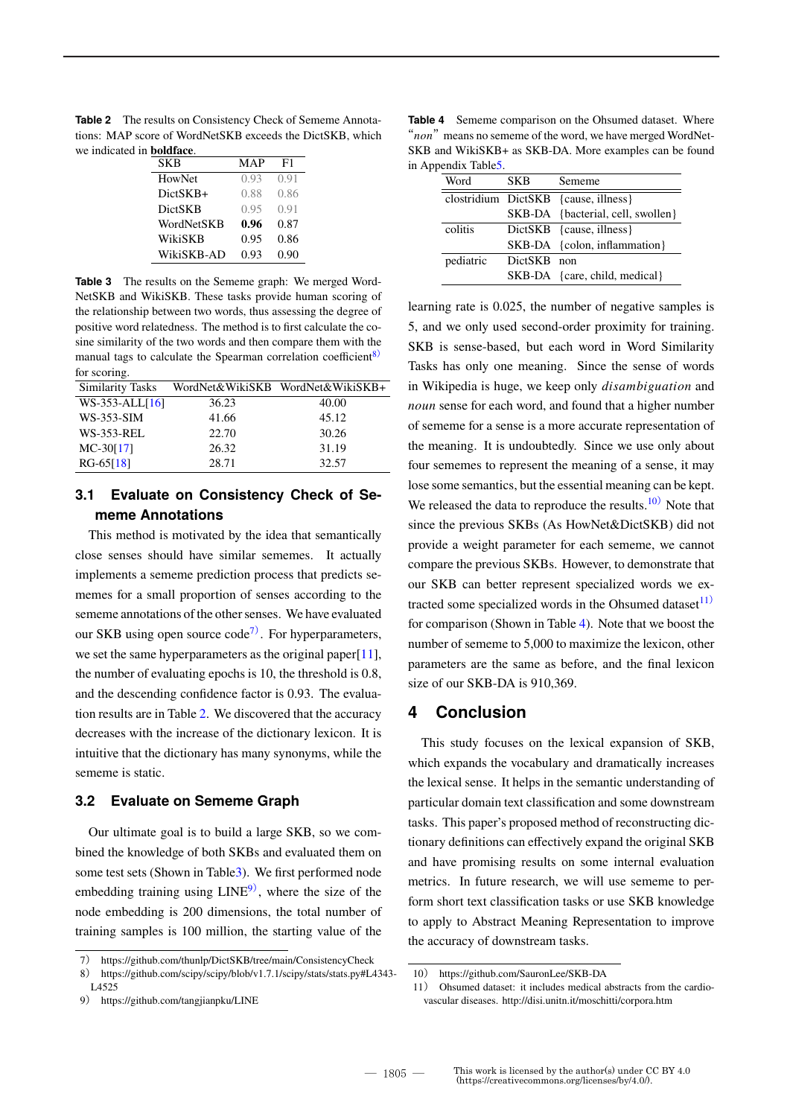**Table 2** The results on Consistency Check of Sememe Annotations: MAP score of WordNetSKB exceeds the DictSKB, which we indicated in **boldface**.

| SKB            | MAP  | F1   |
|----------------|------|------|
| HowNet         | 0.93 | 0.91 |
| DictSKB+       | 0.88 | 0.86 |
| <b>DictSKB</b> | 0.95 | 0.91 |
| WordNetSKB     | 0.96 | 0.87 |
| WikiSKB        | 0.95 | 0.86 |
| WikiSKB-AD     | 0.93 | 0.90 |

**Table 3** The results on the Sememe graph: We merged Word-NetSKB and WikiSKB. These tasks provide human scoring of the relationship between two words, thus assessing the degree of positive word relatedness. The method is to first calculate the cosine similarity of the two words and then compare them with the manual tags to calculate the Spearman correlation coefficient<sup>8)</sup> for scoring.

| <b>Similarity Tasks</b> |       | WordNet&WikiSKB WordNet&WikiSKB+ |
|-------------------------|-------|----------------------------------|
| $WS-353-ALL[16]$        | 36.23 | 40.00                            |
| <b>WS-353-SIM</b>       | 41.66 | 45.12                            |
| <b>WS-353-REL</b>       | 22.70 | 30.26                            |
| $MC-30[17]$             | 26.32 | 31.19                            |
| $RG-65[18]$             | 28.71 | 32.57                            |

## **3.1 Evaluate on Consistency Check of Sememe Annotations**

This method is motivated by the idea that semantically close senses should have similar sememes. It actually implements a sememe prediction process that predicts sememes for a small proportion of senses according to the sememe annotations of the other senses. We have evaluated our SKB using open source  $\text{code}^7$ . For hyperparameters, we set the same hyperparameters as the original paper[11], the number of evaluating epochs is 10, the threshold is 0.8, and the descending confidence factor is 0.93. The evaluation results are in Table 2. We discovered that the accuracy decreases with the increase of the dictionary lexicon. It is intuitive that the dictionary has many synonyms, while the sememe is static.

### **3.2 Evaluate on Sememe Graph**

Our ultimate goal is to build a large SKB, so we combined the knowledge of both SKBs and evaluated them on some test sets (Shown in Table3). We first performed node embedding training using  $LINE<sup>9</sup>$ , where the size of the node embedding is 200 dimensions, the total number of training samples is 100 million, the starting value of the

**Table 4** Sememe comparison on the Ohsumed dataset. Where " $non$ " means no sememe of the word, we have merged WordNet-SKB and WikiSKB+ as SKB-DA. More examples can be found in Appendix Table5.

| Word      | <b>SKB</b>  | Sememe                               |
|-----------|-------------|--------------------------------------|
|           |             | clostridium DictSKB {cause, illness} |
|           |             | SKB-DA {bacterial, cell, swollen}    |
| colitis   |             | DictSKB {cause, illness}             |
|           |             | SKB-DA {colon, inflammation}         |
| pediatric | DictSKB non |                                      |
|           |             | SKB-DA {care, child, medical}        |

learning rate is 0.025, the number of negative samples is 5, and we only used second-order proximity for training. SKB is sense-based, but each word in Word Similarity Tasks has only one meaning. Since the sense of words in Wikipedia is huge, we keep only *disambiguation* and noun sense for each word, and found that a higher number of sememe for a sense is a more accurate representation of the meaning. It is undoubtedly. Since we use only about four sememes to represent the meaning of a sense, it may lose some semantics, but the essential meaning can be kept. We released the data to reproduce the results.<sup>10)</sup> Note that since the previous SKBs (As HowNet&DictSKB) did not provide a weight parameter for each sememe, we cannot compare the previous SKBs. However, to demonstrate that our SKB can better represent specialized words we extracted some specialized words in the Ohsumed dataset $11$ ) for comparison (Shown in Table 4). Note that we boost the number of sememe to 5,000 to maximize the lexicon, other parameters are the same as before, and the final lexicon size of our SKB-DA is 910,369.

### **4 Conclusion**

This study focuses on the lexical expansion of SKB, which expands the vocabulary and dramatically increases the lexical sense. It helps in the semantic understanding of particular domain text classification and some downstream tasks. This paper's proposed method of reconstructing dictionary definitions can effectively expand the original SKB and have promising results on some internal evaluation metrics. In future research, we will use sememe to perform short text classification tasks or use SKB knowledge to apply to Abstract Meaning Representation to improve the accuracy of downstream tasks.

<sup>7</sup>) https://github.com/thunlp/DictSKB/tree/main/ConsistencyCheck

<sup>8</sup>) https://github.com/scipy/scipy/blob/v1.7.1/scipy/stats/stats.py#L4343- L4525

<sup>9</sup>) https://github.com/tangjianpku/LINE

<sup>10</sup>) https://github.com/SauronLee/SKB-DA

<sup>11</sup>) Ohsumed dataset: it includes medical abstracts from the cardiovascular diseases. http://disi.unitn.it/moschitti/corpora.htm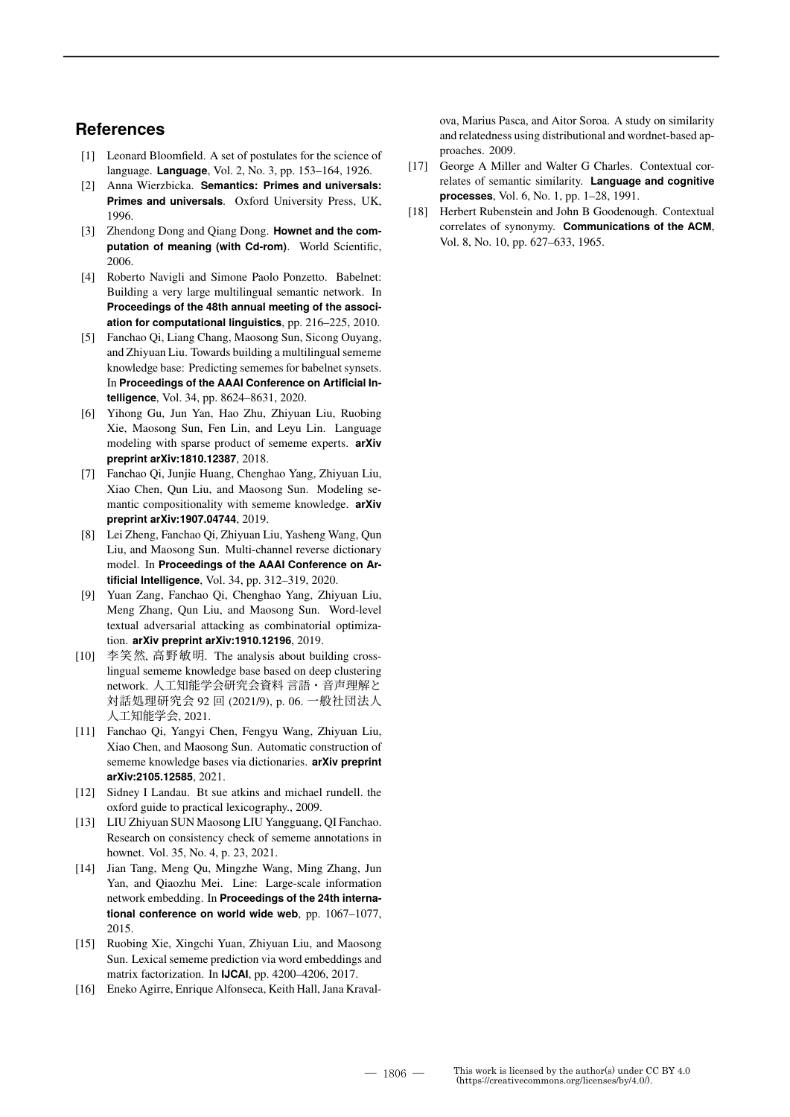### **References**

- [1] Leonard Bloomfield. A set of postulates for the science of language. **Language**, Vol. 2, No. 3, pp. 153–164, 1926.
- [2] Anna Wierzbicka. **Semantics: Primes and universals: Primes and universals**. Oxford University Press, UK, 1996.
- [3] Zhendong Dong and Qiang Dong. **Hownet and the computation of meaning (with Cd-rom)**. World Scientific, 2006.
- [4] Roberto Navigli and Simone Paolo Ponzetto. Babelnet: Building a very large multilingual semantic network. In **Proceedings of the 48th annual meeting of the association for computational linguistics**, pp. 216–225, 2010.
- [5] Fanchao Qi, Liang Chang, Maosong Sun, Sicong Ouyang, and Zhiyuan Liu. Towards building a multilingual sememe knowledge base: Predicting sememes for babelnet synsets. In **Proceedings of the AAAI Conference on Artificial Intelligence**, Vol. 34, pp. 8624–8631, 2020.
- [6] Yihong Gu, Jun Yan, Hao Zhu, Zhiyuan Liu, Ruobing Xie, Maosong Sun, Fen Lin, and Leyu Lin. Language modeling with sparse product of sememe experts. **arXiv preprint arXiv:1810.12387**, 2018.
- [7] Fanchao Qi, Junjie Huang, Chenghao Yang, Zhiyuan Liu, Xiao Chen, Qun Liu, and Maosong Sun. Modeling semantic compositionality with sememe knowledge. **arXiv preprint arXiv:1907.04744**, 2019.
- [8] Lei Zheng, Fanchao Qi, Zhiyuan Liu, Yasheng Wang, Qun Liu, and Maosong Sun. Multi-channel reverse dictionary model. In **Proceedings of the AAAI Conference on Artificial Intelligence**, Vol. 34, pp. 312–319, 2020.
- [9] Yuan Zang, Fanchao Qi, Chenghao Yang, Zhiyuan Liu, Meng Zhang, Qun Liu, and Maosong Sun. Word-level textual adversarial attacking as combinatorial optimization. **arXiv preprint arXiv:1910.12196**, 2019.
- [10] 李笑然, 高野敏明. The analysis about building crosslingual sememe knowledge base based on deep clustering network. 人工知能学会研究会資料 言語・音声理解と 対話処理研究会 92 回 (2021/9), p. 06. 一般社団法人 人工知能学会, 2021.
- [11] Fanchao Qi, Yangyi Chen, Fengyu Wang, Zhiyuan Liu, Xiao Chen, and Maosong Sun. Automatic construction of sememe knowledge bases via dictionaries. **arXiv preprint arXiv:2105.12585**, 2021.
- [12] Sidney I Landau. Bt sue atkins and michael rundell. the oxford guide to practical lexicography., 2009.
- [13] LIU Zhiyuan SUN Maosong LIU Yangguang, QI Fanchao. Research on consistency check of sememe annotations in hownet. Vol. 35, No. 4, p. 23, 2021.
- [14] Jian Tang, Meng Qu, Mingzhe Wang, Ming Zhang, Jun Yan, and Qiaozhu Mei. Line: Large-scale information network embedding. In **Proceedings of the 24th international conference on world wide web**, pp. 1067–1077, 2015.
- [15] Ruobing Xie, Xingchi Yuan, Zhiyuan Liu, and Maosong Sun. Lexical sememe prediction via word embeddings and matrix factorization. In **IJCAI**, pp. 4200–4206, 2017.
- [16] Eneko Agirre, Enrique Alfonseca, Keith Hall, Jana Kraval-

ova, Marius Pasca, and Aitor Soroa. A study on similarity and relatedness using distributional and wordnet-based approaches. 2009.

- [17] George A Miller and Walter G Charles. Contextual correlates of semantic similarity. **Language and cognitive processes**, Vol. 6, No. 1, pp. 1–28, 1991.
- [18] Herbert Rubenstein and John B Goodenough. Contextual correlates of synonymy. **Communications of the ACM**, Vol. 8, No. 10, pp. 627–633, 1965.